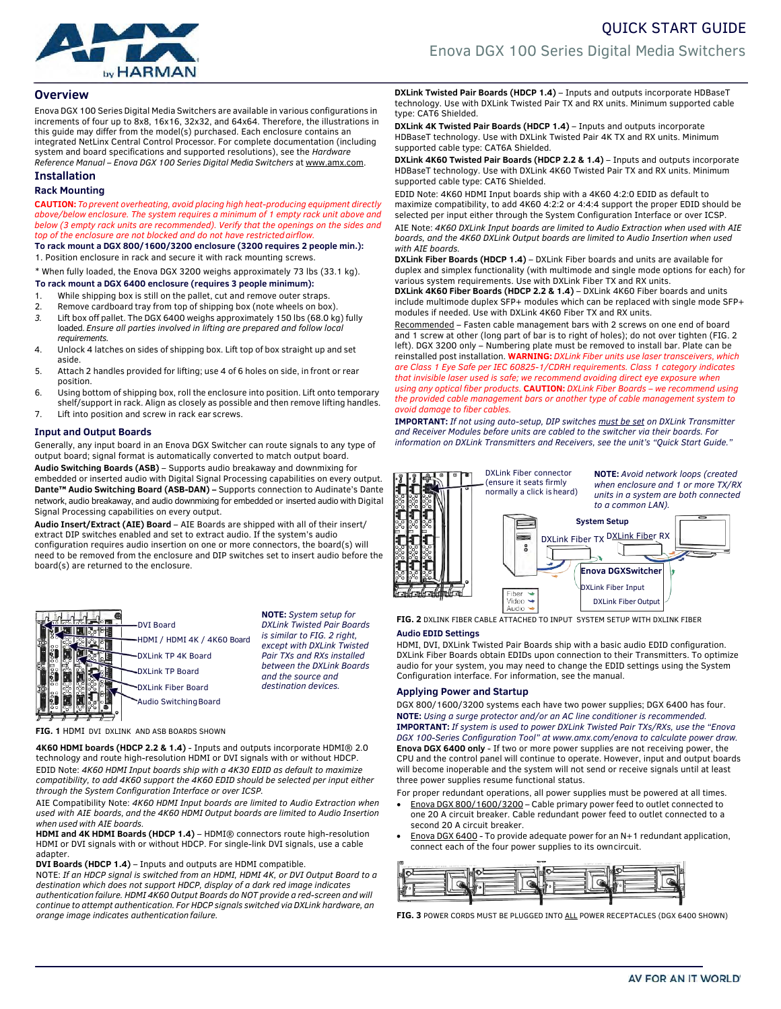

# **Overview**

Enova DGX 100 Series Digital Media Switchers are available in various configurations in increments of four up to 8x8, 16x16, 32x32, and 64x64. Therefore, the illustrations in this guide may differ from the model(s) purchased. Each enclosure contains an integrated NetLinx Central Control Processor. For complete documentation (including system and board specifications and supported resolutions), see the *Hardware Reference Manual – Enova DGX 100 Series Digital Media Switchers* at www.amx.com.

# **Installation**

# **Rack Mounting**

**CAUTION:** *Toprevent overheating, avoid placing high heat-producing equipment directly above/below enclosure. The system requires a minimum of 1 empty rack unit above and below (3 empty rack units are recommended). Verify that the openings on the sides and top of the enclosure are not blocked and do not have restrictedairflow.*

**To rack mount a DGX 800/1600/3200 enclosure (3200 requires 2 people min.):**

1. Position enclosure in rack and secure it with rack mounting screws.

\* When fully loaded, the Enova DGX 3200 weighs approximately 73 lbs (33.1 kg). **To rack mount a DGX 6400 enclosure (requires 3 people minimum):**

- 1. While shipping box is still on the pallet, cut and remove outer straps.<br>2. Remove cardboard tray from top of shipping box (note wheels on box
- Remove cardboard tray from top of shipping box (note wheels on box).
- *3.* Lift box off pallet. The DGX 6400 weighs approximately 150 lbs (68.0 kg) fully loaded. *Ensure all parties involved in lifting are prepared and follow local requirements.*
- 4. Unlock 4 latches on sides of shipping box. Lift top of box straight up and set aside.
- 5. Attach 2 handles provided for lifting; use 4 of 6 holes on side, in front or rear position.
- 6. Using bottom of shipping box, roll the enclosure into position. Lift onto temporary shelf/support in rack. Align as closely as possible and then remove lifting handles.
- 7. Lift into position and screw in rack ear screws.

# **Input and Output Boards**

Generally, any input board in an Enova DGX Switcher can route signals to any type of output board; signal format is automatically converted to match output board. **Audio Switching Boards (ASB)** – Supports audio breakaway and downmixing for embedded or inserted audio with Digital Signal Processing capabilities on every output. **Dante™ Audio Switching Board (ASB-DAN) –** Supports connection to Audinate's Dante network, audio breakaway, and audio downmixing for embedded or inserted audio with Digital Signal Processing capabilities on every output.

**Audio Insert/Extract (AIE) Board** – AIE Boards are shipped with all of their insert/ extract DIP switches enabled and set to extract audio. If the system's audio configuration requires audio insertion on one or more connectors, the board(s) will need to be removed from the enclosure and DIP switches set to insert audio before the board(s) are returned to the enclosure.



**NOTE:** *System setup for DXLink Twisted Pair Boards is similar to FIG. 2 right, except with DXLink Twisted Pair TXs and RXs installed between the DXLink Boards and the source and*

**FIG. 1** HDMI DVI DXLINK AND ASB BOARDS SHOWN

**4K60 HDMI boards (HDCP 2.2 & 1.4)** - Inputs and outputs incorporate HDMI® 2.0 technology and route high-resolution HDMI or DVI signals with or without HDCP. EDID Note: *4K60 HDMI Input boards ship with a 4K30 EDID as default to maximize compatibility, to add 4K60 support the 4K60 EDID should be selected per input either through the System Configuration Interface or over ICSP.*

AIE Compatibility Note: *4K60 HDMI Input boards are limited to Audio Extraction when used with AIE boards, and the 4K60 HDMI Output boards are limited to Audio Insertion when used with AIE boards.*

**HDMI and 4K HDMI Boards (HDCP 1.4)** – HDMI® connectors route high-resolution HDMI or DVI signals with or without HDCP. For single-link DVI signals, use a cable adapter.

**DVI Boards (HDCP 1.4)** – Inputs and outputs are HDMI compatible.

NOTE: *If an HDCP signal is switched from an HDMI, HDMI 4K, or DVI Output Board to a destination which does not support HDCP, display of a dark red image indicates authentication failure. HDMI 4K60 Output Boards do NOT provide a red-screen and will continue to attempt authentication. For HDCP signals switched via DXLink hardware, an orange image indicates authentication failure.*

**DXLink Twisted Pair Boards (HDCP 1.4)** – Inputs and outputs incorporate HDBaseT technology. Use with DXLink Twisted Pair TX and RX units. Minimum supported cable type: CAT6 Shielded.

**DXLink 4K Twisted Pair Boards (HDCP 1.4)** – Inputs and outputs incorporate HDBaseT technology. Use with DXLink Twisted Pair 4K TX and RX units. Minimum supported cable type: CAT6A Shielded.

**DXLink 4K60 Twisted Pair Boards (HDCP 2.2 & 1.4)** - Inputs and outputs incorporate HDBaseT technology. Use with DXLink 4K60 Twisted Pair TX and RX units. Minimum supported cable type: CAT6 Shielded.

EDID Note: 4K60 HDMI Input boards ship with a 4K60 4:2:0 EDID as default to maximize compatibility, to add 4K60 4:2:2 or 4:4:4 support the proper EDID should be selected per input either through the System Configuration Interface or over ICSP. AIE Note: *4K60 DXLink Input boards are limited to Audio Extraction when used with AIE boards, and the 4K60 DXLink Output boards are limited to Audio Insertion when used with AIE boards.*

**DXLink Fiber Boards (HDCP 1.4)** – DXLink Fiber boards and units are available for duplex and simplex functionality (with multimode and single mode options for each) for various system requirements. Use with DXLink Fiber TX and RX units.

**DXLink 4K60 Fiber Boards (HDCP 2.2 & 1.4)** – DXLink 4K60 Fiber boards and units include multimode duplex SFP+ modules which can be replaced with single mode SFP+ modules if needed. Use with DXLink 4K60 Fiber TX and RX units.

Recommended – Fasten cable management bars with 2 screws on one end of board and 1 screw at other (long part of bar is to right of holes); do not over tighten (FIG. 2 left). DGX 3200 only – Numbering plate must be removed to install bar. Plate can be reinstalled post installation. **WARNING:** *DXLink Fiber units use laser transceivers, which are Class 1 Eye Safe per IEC 60825-1/CDRH requirements. Class 1 category indicates that invisible laser used is safe; we recommend avoiding direct eye exposure when using any optical fiber products.* **CAUTION:** *DXLink Fiber Boards – we recommend using the provided cable management bars or another type of cable management system to avoid damage to fiber cables.*

**IMPORTANT:** *If not using auto-setup, DIP switches must be set on DXLink Transmitter and Receiver Modules before units are cabled to the switcher via their boards. For information on DXLink Transmitters and Receivers, see the unit's "Quick Start Guide."*



**FIG. 2** DXLINK FIBER CABLE ATTACHED TO INPUT SYSTEM SETUP WITH DXLINK FIBER

# **Audio EDID Settings**

HDMI, DVI, DXLink Twisted Pair Boards ship with a basic audio EDID configuration. DXLink Fiber Boards obtain EDIDs upon connection to their Transmitters. To optimize audio for your system, you may need to change the EDID settings using the System Configuration interface. For information, see the manual.

## *destination devices.* **Applying Power and Startup**

DGX 800/1600/3200 systems each have two power supplies; DGX 6400 has four. **NOTE:** *Using a surge protector and/or an AC line conditioner is recommended.*  **IMPORTANT:** *If system is used to power DXLink Twisted Pair TXs/RXs, use the "Enova DGX 100-Series Configuration Tool" at www.amx.com/enova to calculate power draw.* **Enova DGX 6400 only** - If two or more power supplies are not receiving power, the CPU and the control panel will continue to operate. However, input and output boards will become inoperable and the system will not send or receive signals until at least three power supplies resume functional status.

For proper redundant operations, all power supplies must be powered at all times.

- Enova DGX 800/1600/3200 Cable primary power feed to outlet connected to one 20 A circuit breaker. Cable redundant power feed to outlet connected to a second 20 A circuit breaker.
- Enova DGX 6400 To provide adequate power for an N+1 redundant application, connect each of the four power supplies to its owncircuit.

| IЮ       |                 | $- -$<br>SYSTEM CALLED |           |
|----------|-----------------|------------------------|-----------|
|          | וור<br>NIIE     | ١I                     |           |
| m<br>-11 | $\bullet$<br>-m |                        | . 0<br>m. |
|          |                 |                        | m         |
|          |                 |                        |           |

FIG. 3 POWER CORDS MUST BE PLUGGED INTO ALL POWER RECEPTACLES (DGX 6400 SHOWN)